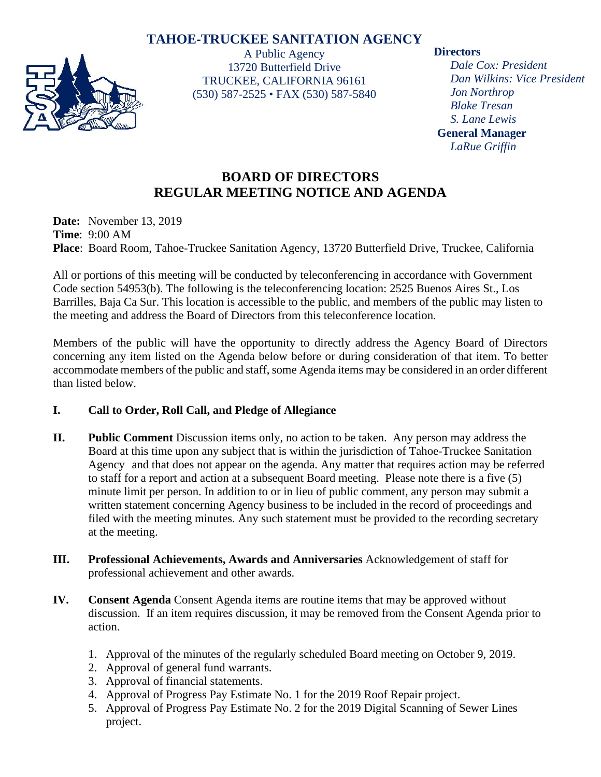# **TAHOE-TRUCKEE SANITATION AGENCY**



A Public Agency 13720 Butterfield Drive TRUCKEE, CALIFORNIA 96161 (530) 587-2525 • FAX (530) 587-5840

### **Directors**

*Dale Cox: President Dan Wilkins: Vice President Jon Northrop Blake Tresan S. Lane Lewis* **General Manager** *LaRue Griffin*

# **BOARD OF DIRECTORS REGULAR MEETING NOTICE AND AGENDA**

**Date:** November 13, 2019 **Time**: 9:00 AM **Place**: Board Room, Tahoe-Truckee Sanitation Agency, 13720 Butterfield Drive, Truckee, California

All or portions of this meeting will be conducted by teleconferencing in accordance with Government Code section 54953(b). The following is the teleconferencing location: 2525 Buenos Aires St., Los Barrilles, Baja Ca Sur. This location is accessible to the public, and members of the public may listen to the meeting and address the Board of Directors from this teleconference location.

Members of the public will have the opportunity to directly address the Agency Board of Directors concerning any item listed on the Agenda below before or during consideration of that item. To better accommodate members of the public and staff, some Agenda items may be considered in an order different than listed below.

## **I. Call to Order, Roll Call, and Pledge of Allegiance**

- **II. Public Comment** Discussion items only, no action to be taken. Any person may address the Board at this time upon any subject that is within the jurisdiction of Tahoe-Truckee Sanitation Agency and that does not appear on the agenda. Any matter that requires action may be referred to staff for a report and action at a subsequent Board meeting. Please note there is a five (5) minute limit per person. In addition to or in lieu of public comment, any person may submit a written statement concerning Agency business to be included in the record of proceedings and filed with the meeting minutes. Any such statement must be provided to the recording secretary at the meeting.
- **III. Professional Achievements, Awards and Anniversaries** Acknowledgement of staff for professional achievement and other awards.
- **IV. Consent Agenda** Consent Agenda items are routine items that may be approved without discussion. If an item requires discussion, it may be removed from the Consent Agenda prior to action.
	- 1. Approval of the minutes of the regularly scheduled Board meeting on October 9, 2019.
	- 2. Approval of general fund warrants.
	- 3. Approval of financial statements.
	- 4. Approval of Progress Pay Estimate No. 1 for the 2019 Roof Repair project.
	- 5. Approval of Progress Pay Estimate No. 2 for the 2019 Digital Scanning of Sewer Lines project.